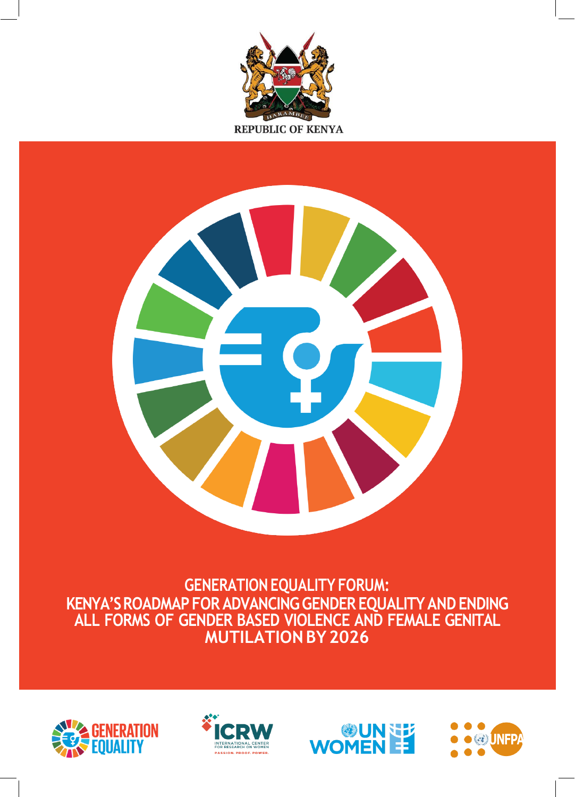



**GENERATIONEQUALITY FORUM: KENYA'SROADMAPFOR ADVANCINGGENDER EQUALITYANDENDING ALL FORMS OF GENDER BASED VIOLENCE AND FEMALE GENITAL MUTILATIONBY2026**







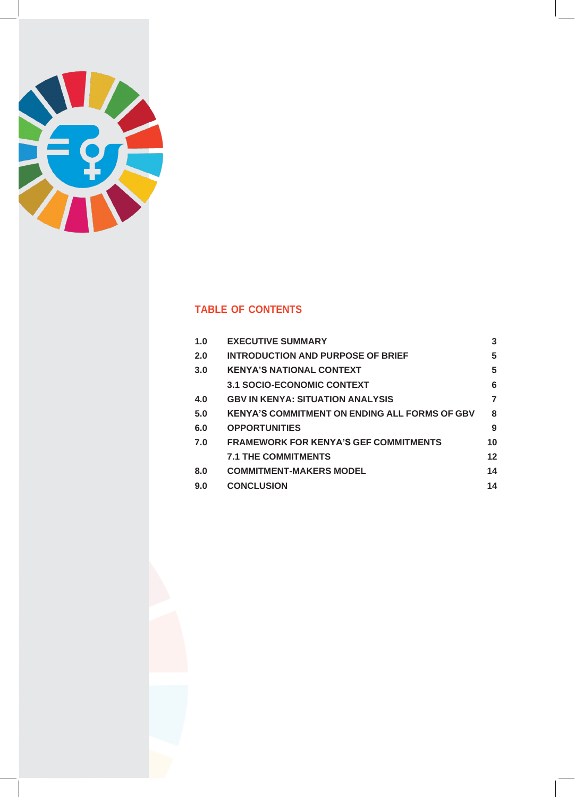

## **TABLE OF CONTENTS**

| 1.0 | <b>EXECUTIVE SUMMARY</b>                             | 3  |
|-----|------------------------------------------------------|----|
| 2.0 | INTRODUCTION AND PURPOSE OF BRIEF                    | 5  |
| 3.0 | <b>KENYA'S NATIONAL CONTEXT</b>                      | 5  |
|     | <b>3.1 SOCIO-ECONOMIC CONTEXT</b>                    | 6  |
| 4.0 | <b>GBV IN KENYA: SITUATION ANALYSIS</b>              | 7  |
| 5.0 | <b>KENYA'S COMMITMENT ON ENDING ALL FORMS OF GBV</b> | 8  |
| 6.0 | <b>OPPORTUNITIES</b>                                 | 9  |
| 7.0 | <b>FRAMEWORK FOR KENYA'S GEF COMMITMENTS</b>         | 10 |
|     | <b>7.1 THE COMMITMENTS</b>                           | 12 |
| 8.0 | <b>COMMITMENT-MAKERS MODEL</b>                       | 14 |
| 9.0 | <b>CONCLUSION</b>                                    | 14 |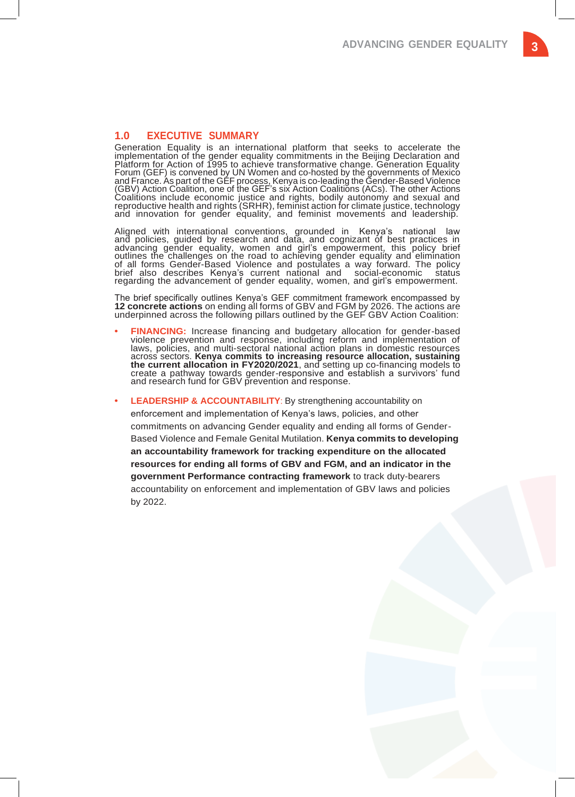**3**

## <span id="page-2-0"></span>**1.0 EXECUTIVE SUMMARY**

Generation Equality is an international platform that seeks to accelerate the implementation of the gender equality commitments in the Beijing Declaration and Platform for Action of 1995 to achieve transformative change. Generation Equality Forum (GEF) is convened by UN Women and co-hosted by the governments of Mexico and France. As part of the GEF process, Kenya is co-leading the Gender-Based Violence (GBV) Action Coalition, one of the GEF's six Action Coalitions (ACs). The other Actions Coalitions include economic justice and rights, bodily autonomy and sexual and reproductive health and rights (SRHR), feminist action for climate justice, technology and innovation for gender equality, and feminist movements and leadership.

Aligned with international conventions, grounded in Kenya's national law and policies, guided by research and data, and cognizant of best practices in advancing gender equality, women and girl's empowerment, this policy brief outlines the challenges on the road to achieving gender equality and elimination of all forms Gender-Based Violence and postulates a way forward. The policy brief also describes Kenya's current national and social-economic status regarding the advancement of gender equality, women, and girl's empowerment.

The brief specifically outlines Kenya's GEF commitment framework encompassed by **12 concrete actions** on ending all forms of GBV and FGM by 2026. The actions are underpinned across the following pillars outlined by the GEF GBV Action Coalition:

- **• FINANCING:** Increase financing and budgetary allocation for gender-based violence prevention and response, including reform and implementation of laws, policies, and multi-sectoral national action plans in domestic resources across sectors. **Kenya commits to increasing resource allocation, sustaining the current allocation in FY2020/2021**, and setting up co-financing models to create a pathway towards gender-responsive and establish a survivors' fund and research fund for GBV prevention and response.
	- **LEADERSHIP & ACCOUNTABILITY:** By strengthening accountability on enforcement and implementation of Kenya's laws, policies, and other commitments on advancing Gender equality and ending all forms of Gender-Based Violence and Female Genital Mutilation. **Kenya commits to developing an accountability framework for tracking expenditure on the allocated resources for ending all forms of GBV and FGM, and an indicator in the government Performance contracting framework** to track duty-bearers accountability on enforcement and implementation of GBV laws and policies by 2022.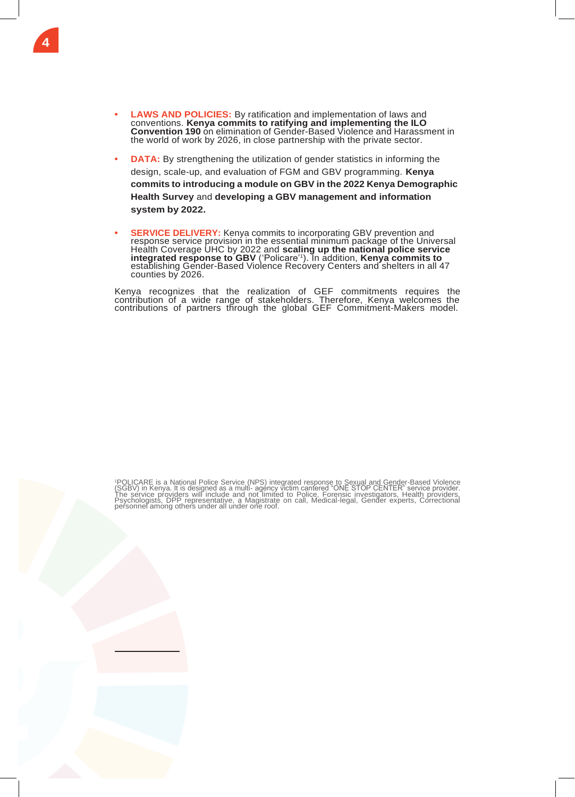- **• LAWS AND POLICIES:** By ratification and implementation of laws and conventions. **Kenya commits to ratifying and implementing the ILO Convention 190** on elimination of Gender-Based Violence and Harassment in the world of work by 2026, in close partnership with the private sector.
- **•• DATA:** By strengthening the utilization of gender statistics in informing the design, scale-up, and evaluation of FGM and GBV programming. **Kenya commits to introducing a module on GBV in the 2022 Kenya Demographic Health Survey** and **developing a GBV management and information system by 2022.**
- **SERVICE DELIVERY:** Kenya commits to incorporating GBV prevention and response service provision in the essential minimum package of the Universal Health Coverage UHC by 2022 and **scaling up the national police service integrated response to GBV** ('Policare'<sup>1</sup> ). In addition, **Kenya commits to** establishing Gender-Based Violence Recovery Centers and shelters in all 47 counties by 2026.

Kenya recognizes that the realization of GEF commitments requires the contribution of a wide range of stakeholders. Therefore, Kenya welcomes the contributions of partners through the global GEF Commitment-Makers model.

'POLICARE is a National Police Service (NPS) integrated response to Sexual and Gender-Based Violence<br>(SGBV) in Kenya. It is designed as a multi- agency victim cantered "ONE STOP CENTER" service provider.<br>The service provid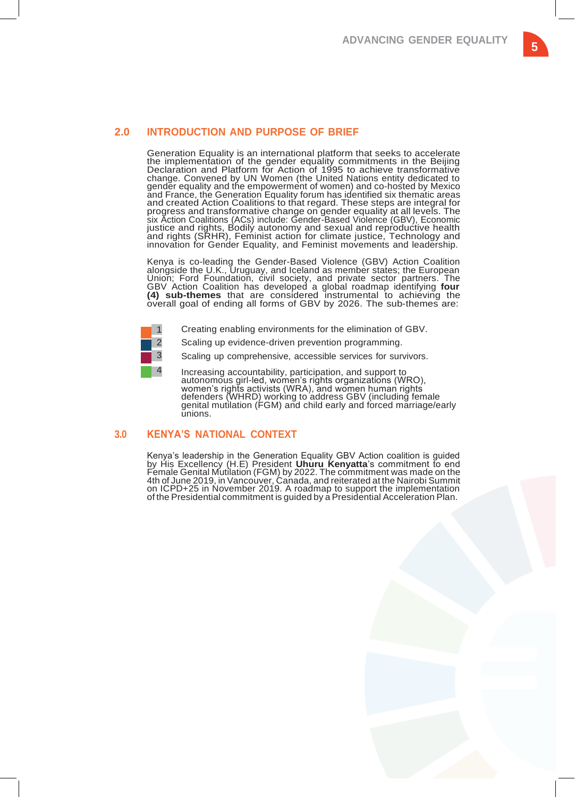# **5**

## <span id="page-4-0"></span>**2.0 INTRODUCTION AND PURPOSE OF BRIEF**

Generation Equality is an international platform that seeks to accelerate the implementation of the gender equality commitments in the Beijing Declaration and Platform for Action of 1995 to achieve transformative change. Convened by UN Women (the United Nations entity dedicated to gender equality and the empowerment of women) and co-hosted by Mexico and France, the Generation Equality forum has identified six thematic areas and created Action Coalitions to that regard. These steps are integral for progress and transformative change on gender equality at all levels. The six Action Coalitions (ACs) include: Gender-Based Violence (GBV), Economic justice and rights, Bodily autonomy and sexual and reproductive health and rights (SRHR), Feminist action for climate justice, Technology and innovation for Gender Equality, and Feminist movements and leadership.

Kenya is co-leading the Gender-Based Violence (GBV) Action Coalition alongside the U.K., Uruguay, and Iceland as member states; the European Union; Ford Foundation, civil society, and private sector partners. The GBV Action Coalition has developed a global roadmap identifying **four (4) sub-themes** that are considered instrumental to achieving the overall goal of ending all forms of GBV by 2026. The sub-themes are:

- 1 Creating enabling environments for the elimination of GBV.
- 2 Scaling up evidence-driven prevention programming.
- 3 Scaling up comprehensive, accessible services for survivors.
- 4 Increasing accountability, participation, and support to autonomous girl-led, women's rights organizations (WRO), women's rights activists (WRA), and women human rights defenders (WHRD) working to address GBV (including female genital mutilation (FGM) and child early and forced marriage/early unions.

## <span id="page-4-1"></span>**3.0 KENYA'S NATIONAL CONTEXT**

Kenya's leadership in the Generation Equality GBV Action coalition is guided by His Excellency (H.E) President **Uhuru Kenyatta**'s commitment to end Female Genital Mutilation (FGM) by 2022. The commitment was made on the 4th of June 2019, in Vancouver, Canada, and reiterated at the Nairobi Summit on ICPD+25 in November 2019. A roadmap to support the implementation of the Presidential commitment is guided by a Presidential Acceleration Plan.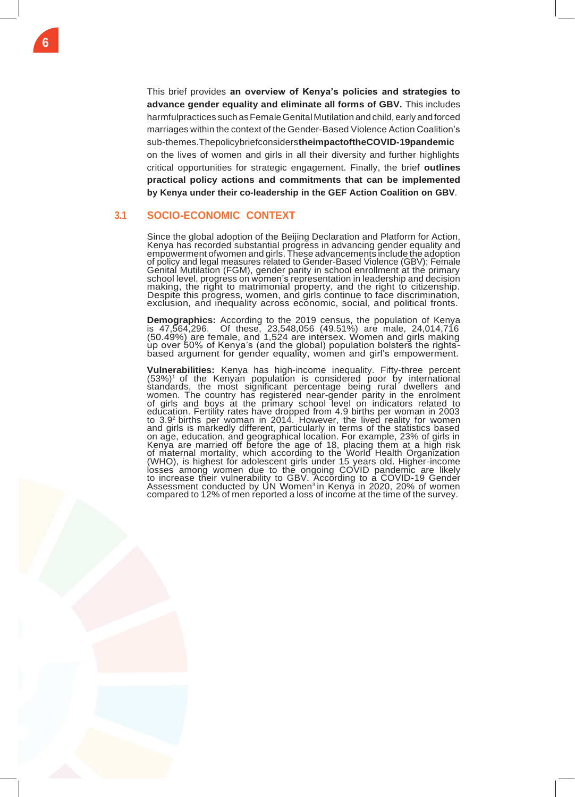This brief provides **an overview of Kenya's policies and strategies to advance gender equality and eliminate all forms of GBV.** This includes harmfulpractices such as Female Genital Mutilation and child, early and forced marriages within the context of the Gender-Based Violence Action Coalition's sub-themes.Thepolicybriefconsiders**theimpactoftheCOVID-19pandemic** on the lives of women and girls in all their diversity and further highlights critical opportunities for strategic engagement. Finally, the brief **outlines practical policy actions and commitments that can be implemented by Kenya under their co-leadership in the GEF Action Coalition on GBV**.

## <span id="page-5-0"></span>**3.1 SOCIO-ECONOMIC CONTEXT**

Since the global adoption of the Beijing Declaration and Platform for Action, Kenya has recorded substantial progress in advancing gender equality and empowerment ofwomen and girls. These advancements include the adoption of policy and legal measures related to Gender-Based Violence (GBV); Female Genital Mutilation (FGM), gender parity in school enrollment at the primary school level, progrèss on women's representation in leadership and decision making, the right to matrimonial property, and the right to citizenship. Despite this progress, women, and girls continue to face discrimination, exclusion, and inequality across economic, social, and political fronts.

**Demographics:** According to the 2019 census, the population of Kenya is 47,564,296. Of these, 23,548,056 (49.51%) are male, 24,014,716 (50.49%) are female, and 1,524 are intersex. Women and girls making up over 50% of Kenya's (and the global) population bolsters the rightsbased argument for gender equality, women and girl's empowerment.

**Vulnerabilities:** Kenya has high-income inequality. Fifty-three percent (53%)<sup>1</sup> of the Kenyan population is considered poor by international standards, the most significant percentage being rural dwellers and women. The country has registered near-gender parity in the enrolment of girls and boys at the primary school level on indicators related to education. Fertility rates have dropped from 4.9 births per woman in 2003 to 3.9<sup>2</sup> births per woman in 2014. However, the lived reality for women and girls is markedly different, particularly in terms of the statistics based on age, education, and geographical location. For example, 23% of girls in Kenya are married off before the age of 18, placing them at a high risk of maternal mortality, which according to the World Health Organization (WHO), is highest for adolescent girls under 15 years old. Higher-income losses among women due to the ongoing COVID pandemic are likely to increase their vulnerability to GBV. According to a COVID-19 Gender Assessment conducted by UN Women<sup>3</sup> in Kenya in 2020, 20% of women compared to 12% of men reported a loss of income at the time of the survey.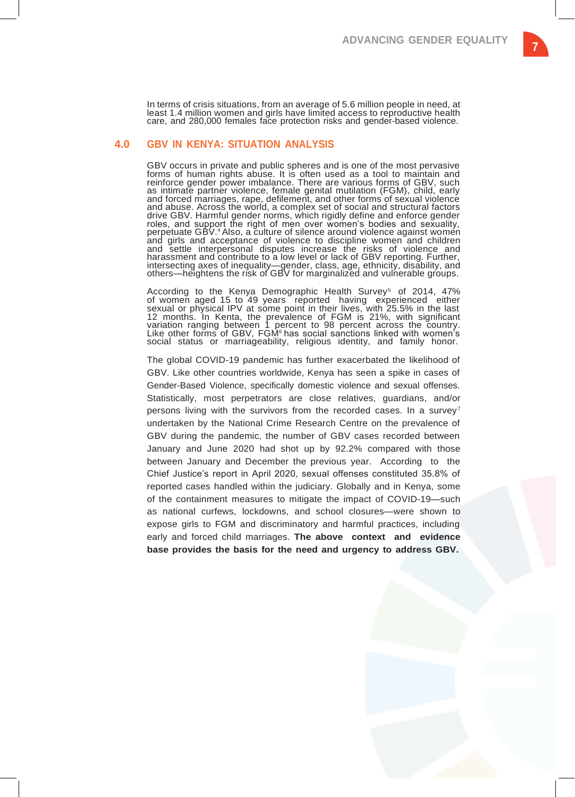In terms of crisis situations, from an average of 5.6 million people in need, at least 1.4 million women and girls have limited access to reproductive health care, and 280,000 females face protection risks and gender-based violence.

#### <span id="page-6-0"></span>**4.0 GBV IN KENYA: SITUATION ANALYSIS**

GBV occurs in private and public spheres and is one of the most pervasive forms of human rights abuse. It is often used as a tool to maintain and reinforce gender power imbalance. There are various forms of GBV, such as intimate partner violence, female genital mutilation (FGM), child, early and forced marriages, rape, defilement, and other forms of sexual violence and abuse. Across the world, a complex set of social and structural factors drive GBV. Harmful gender norms, which rigidly define and enforce gender roles, and support the right of men over women's bodies and sexuality, perpetuate GBV.4 Also, a culture of silence around violence against women and girls and acceptance of violence to discipline women and children and settle interpersonal disputes increase the risks of violence and harassment and contribute to a low level or lack of GBV reporting. Further, intersecting axes of inequality—gender, class, age, ethnicity, disability, and others—heightens the risk of GBV for marginalized and vulnerable groups.

According to the Kenya Demographic Health Survey<sup>5</sup> of 2014, 47% of women aged 15 to 49 years reported having experienced either sexual or physical IPV at some point in their lives, with 25.5% in the last 12 months. In Kenta, the prevalence of FGM is 21%, with significant variation ranging between 1 percent to 98 percent across the country. Like other forms of GBV, FGM<sup>6</sup> has social sanctions linked with women's social status or marriageability, religious identity, and family honor.

The global COVID-19 pandemic has further exacerbated the likelihood of GBV. Like other countries worldwide, Kenya has seen a spike in cases of Gender-Based Violence, specifically domestic violence and sexual offenses. Statistically, most perpetrators are close relatives, guardians, and/or persons living with the survivors from the recorded cases. In a survey<sup>7</sup> undertaken by the National Crime Research Centre on the prevalence of GBV during the pandemic, the number of GBV cases recorded between January and June 2020 had shot up by 92.2% compared with those between January and December the previous year. According to the Chief Justice's report in April 2020, sexual offenses constituted 35.8% of reported cases handled within the judiciary. Globally and in Kenya, some of the containment measures to mitigate the impact of COVID-19—such as national curfews, lockdowns, and school closures—were shown to expose girls to FGM and discriminatory and harmful practices, including early and forced child marriages. **The above context and evidence base provides the basis for the need and urgency to address GBV.**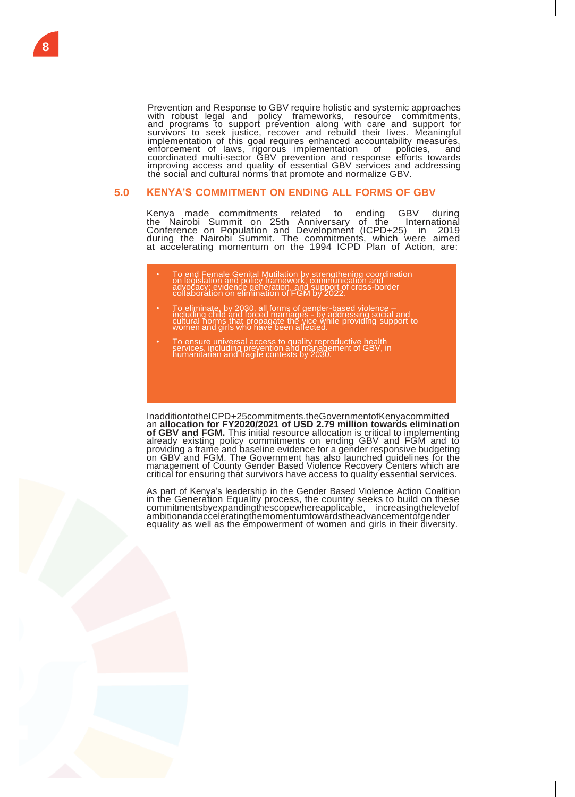Prevention and Response to GBV require holistic and systemic approaches with robust legal and policy frameworks, resource commitments, and programs to support prevention along with care and support for survivors to seek justice, recover and rebuild their lives. Meaningful implementation of this goal requires enhanced accountability measures, enforcement of laws, rigorous implementation of policies, and coordinated multi-sector GBV prevention and response efforts towards improving access and quality of essential GBV services and addressing the social and cultural norms that promote and normalize GBV.

#### <span id="page-7-0"></span>**5.0 KENYA'S COMMITMENT ON ENDING ALL FORMS OF GBV**

Kenya made commitments related to ending GBV during the Nairobi Summit on 25th Anniversary of the International Conference on Population and Development (ICPD+25) in 2019 during the Nairobi Summit. The commitments, which were aimed at accelerating momentum on the 1994 ICPD Plan of Action, are:

- To end Female Genital Mutilation by strengthening coordination on legislation and policy framework; communication and advocacy; evidence generation, and support of cross-border collaboration on elimination of FGM by 2022.
- To eliminate, by 2030, all forms of gender-based violence –<br>including child and forced marriages by addressing social and<br>cultural norms that propagate the vice while providing support to<br>women and girls who have been
- To ensure universal access to quality reproductive health services, including prevention and management of GBV, in humanitarian and fragile contexts by 2030.

InadditiontotheICPD+25commitments,theGovernmentofKenyacommitted an **allocation for FY2020/2021 of USD 2.79 million towards elimination of GBV and FGM.** This initial resource allocation is critical to implementing already existing policy commitments on ending GBV and FGM and to providing a frame and baseline evidence for a gender responsive budgeting on GBV and FGM. The Government has also launched guidelines for the management of County Gender Based Violence Recovery Centers which are critical for ensuring that survivors have access to quality essential services.

As part of Kenya's leadership in the Gender Based Violence Action Coalition in the Generation Equality process, the country seeks to build on these commitmentsbyexpandingthescopewhereapplicable, increasingthelevelof ambitionandacceleratingthemomentumtowardstheadvancementofgender equality as well as the empowerment of women and girls in their diversity.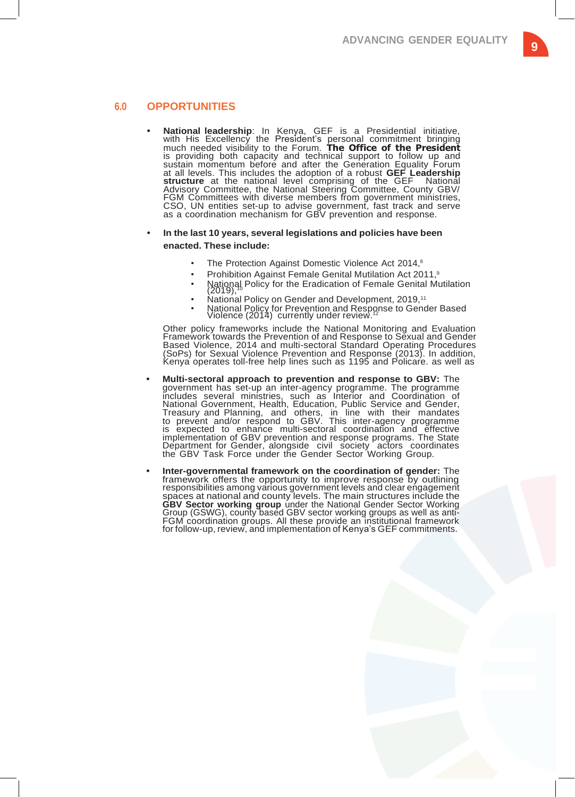#### <span id="page-8-0"></span>**6.0 OPPORTUNITIES**

**• National leadership**: In Kenya, GEF is a Presidential initiative, with His Excellency the President's personal commitment bringing much needed visibility to the Forum. **The Office of the President** is providing both capacity and technical support to follow up and sustain momentum before and after the Generation Equality Forum at all levels. This includes the adoption of a robust **GEF Leadership structure** at the national level comprising of the GEF National Advisory Committee, the National Steering Committee, County GBV/ FGM Committees with diverse members from government ministries, CSO, UN entities set-up to advise government, fast track and serve as a coordination mechanism for GBV prevention and response.

#### **• In the last 10 years, several legislations and policies have been enacted. These include:**

- The Protection Against Domestic Violence Act 2014,<sup>8</sup>
- Prohibition Against Female Genital Mutilation Act 2011,<sup>9</sup>
- National Policy for the Eradication of Female Genital Mutilation (2019),<sup>10</sup>
- National Policy on Gender and Development, 2019,<sup>11</sup>
- National Policy for Prevention and Response to Gender Based Violence (2014) currently under review.<sup>12</sup>

Other policy frameworks include the National Monitoring and Evaluation Framework towards the Prevention of and Response to Sexual and Gender Based Violence, 2014 and multi-sectoral Standard Operating Procedures (SoPs) for Sexual Violence Prevention and Response (2013). In addition, Kenya operates toll-free help lines such as 1195 and Policare. as well as

- **• Multi-sectoral approach to prevention and response to GBV:** The government has set-up an inter-agency programme. The programme includes several ministries, such as Interior and Coordination of National Government, Health, Education, Public Service and Gender, Treasury and Planning, and others, in line with their mandates to prevent and/or respond to GBV. This inter-agency programme is expected to enhance multi-sectoral coordination and effective implementation of GBV prevention and response programs. The State Department for Gender, alongside civil society actors coordinates the GBV Task Force under the Gender Sector Working Group.
- **• Inter-governmental framework on the coordination of gender:** The framework offers the opportunity to improve response by outlining responsibilities among various government levels and clear engagement spaces at national and county levels. The main structures include the GBV Sector working group under the National Gender Sector Working Group (GSWG), county based GBV sector working groups as well as anti-FGM coordination groups. All these provide an institutional framework for follow-up, review, and implementation of Kenya's GEF commitments.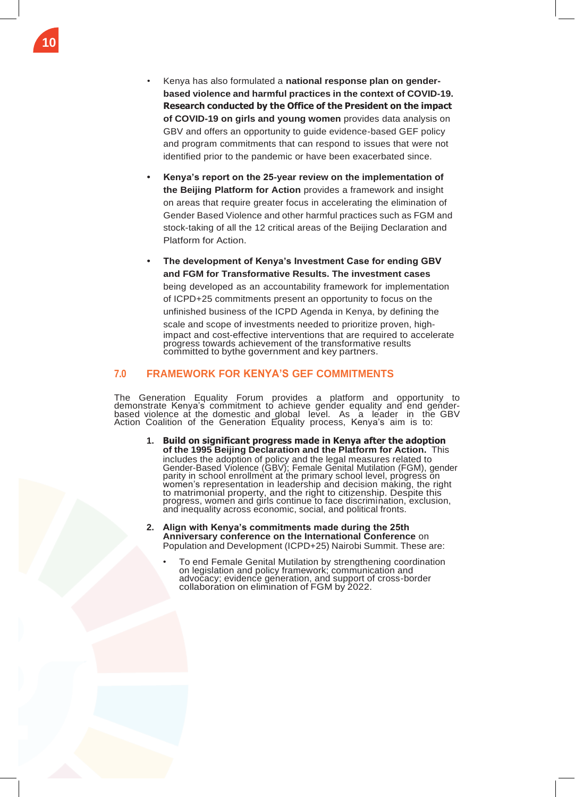- Kenya has also formulated a **national response plan on genderbased violence and harmful practices in the context of COVID-19. Research conducted by the Office of the President on the impact of COVID-19 on girls and young women** provides data analysis on GBV and offers an opportunity to guide evidence-based GEF policy and program commitments that can respond to issues that were not identified prior to the pandemic or have been exacerbated since.
- **• Kenya's report on the 25-year review on the implementation of the Beijing Platform for Action** provides a framework and insight on areas that require greater focus in accelerating the elimination of Gender Based Violence and other harmful practices such as FGM and stock-taking of all the 12 critical areas of the Beijing Declaration and Platform for Action.
- **• The development of Kenya's Investment Case for ending GBV and FGM for Transformative Results. The investment cases** being developed as an accountability framework for implementation of ICPD+25 commitments present an opportunity to focus on the unfinished business of the ICPD Agenda in Kenya, by defining the scale and scope of investments needed to prioritize proven, highimpact and cost-effective interventions that are required to accelerate progress towards achievement of the transformative results committed to bythe government and key partners.

### <span id="page-9-0"></span>**7.0 FRAMEWORK FOR KENYA'S GEF COMMITMENTS**

The Generation Equality Forum provides a platform and opportunity to demonstrate Kenya's commitment to achieve gender equality and end genderbased violence at the domestic and global level. As a leader in the GBV Action Coalition of the Generation Equality process, Kenya's aim is to:

- **1. Build on significant progress made in Kenya after the adoption of the 1995 Beijing Declaration and the Platform for Action.** This includes the adoption of policy and the legal measures related to Gender-Based Violence (GBV); Female Genital Mutilation (FGM), gender parity in school enrollment at the primary school level, progress on women's representation in leadership and decision making, the right to matrimonial property, and the right to citizenship. Despite this progress, women and girls continue to face discrimination, exclusion, and inequality across economic, social, and political fronts.
- **2. Align with Kenya's commitments made during the 25th Anniversary conference on the International Conference** on Population and Development (ICPD+25) Nairobi Summit. These are:
	- To end Female Genital Mutilation by strengthening coordination on legislation and policy framework; communication and advocacy; evidence generation, and support of cross-border collaboration on elimination of FGM by 2022.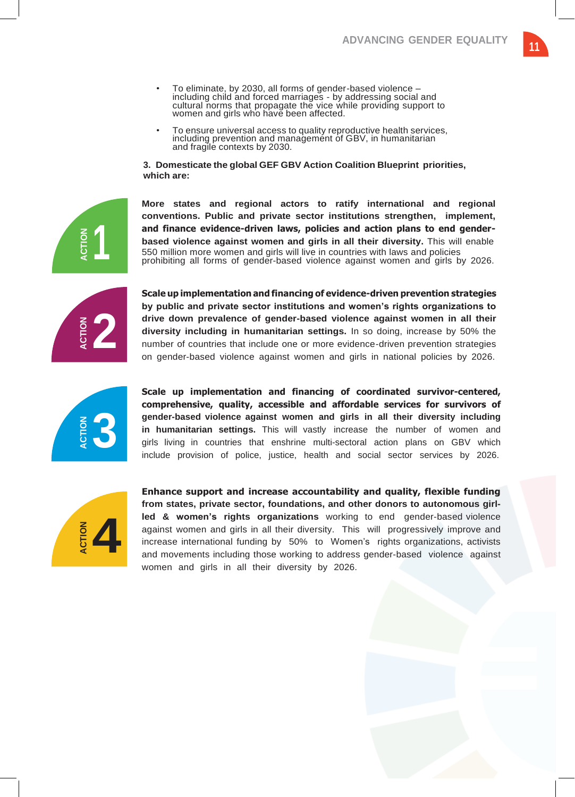- To eliminate, by 2030, all forms of gender-based violence including child and forced marriages - by addressing social and cultural norms that propagate the vice while providing support to women and girls who have been affected.
- To ensure universal access to quality reproductive health services, including prevention and management of GBV, in humanitarian and fragile contexts by 2030.

**3. Domesticate the global GEF GBV Action Coalition Blueprint priorities, which are:**

**More states and regional actors to ratify international and regional conventions. Public and private sector institutions strengthen, implement, and finance evidence-driven laws, policies and action plans to end genderbased violence against women and girls in all their diversity.** This will enable 550 million more women and girls will live in countries with laws and policies prohibiting all forms of gender-based violence against women and girls by 2026.

**2**

**1**

**Scale up implementation and financing of evidence-driven prevention strategies by public and private sector institutions and women's rights organizations to drive down prevalence of gender-based violence against women in all their diversity including in humanitarian settings.** In so doing, increase by 50% the number of countries that include one or more evidence-driven prevention strategies on gender-based violence against women and girls in national policies by 2026.



**Scale up implementation and financing of coordinated survivor-centered, comprehensive, quality, accessible and affordable services for survivors of gender-based violence against women and girls in all their diversity including in humanitarian settings.** This will vastly increase the number of women and girls living in countries that enshrine multi-sectoral action plans on GBV which include provision of police, justice, health and social sector services by 2026.



**Enhance support and increase accountability and quality, flexible funding from states, private sector, foundations, and other donors to autonomous girlled & women's rights organizations** working to end gender-based violence against women and girls in all their diversity. This will progressively improve and increase international funding by 50% to Women's rights organizations, activists and movements including those working to address gender-based violence against women and girls in all their diversity by 2026.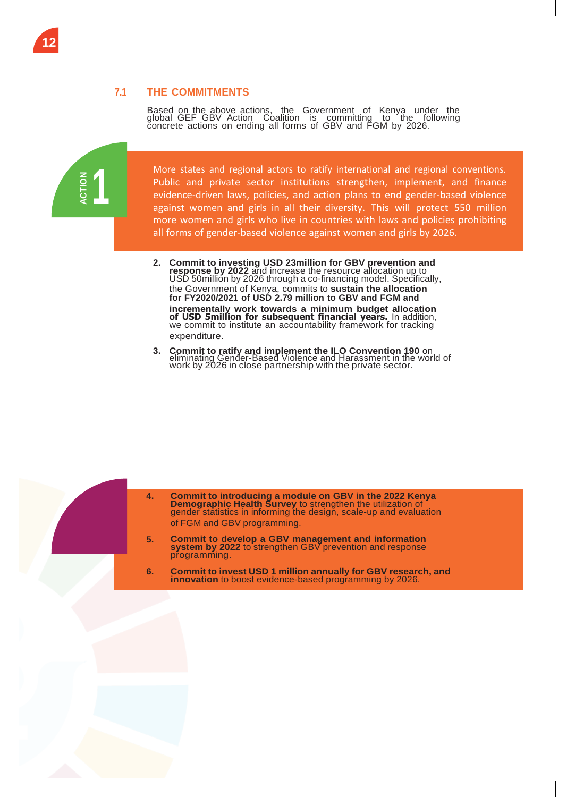## **7.1 THE COMMITMENTS**

Based on the above actions, the Government of Kenya under the global GEF GBV Action Coalition is committing to the following concrete actions on ending all forms of GBV and FGM by 2026.

**1 ACTION ACTION**

<span id="page-11-0"></span>**12**

more women and girls who live in countries with laws and policies prohibiting  $b$  arms of gondar based violence against women and girls  $b$ all forms of gender-based violence against women and girls by 2026. More states and regional actors to ratify international and regional conventions. Public and private sector institutions strengthen, implement, and finance evidence-driven laws, policies, and action plans to end gender-based violence against women and girls in all their diversity. This will protect 550 million

**2. Commit to investing USD 23million for GBV prevention and response by 2022** and increase the resource allocation up to USD 50millión by 2026 through a co-financing model. Specifically, the Government of Kenya, commits to **sustain the allocation for FY2020/2021 of USD 2.79 million to GBV and FGM and incrementally work towards a minimum budget allocation of USD 5million for subsequent financial years.** In addition, we commit to institute an accountability framework for tracking expenditure.

enforcement and implementation of GBV laws and policies by 2022.

**3. Commit to ratify and implement the ILO Convention 190** on eliminating Gender-Based Violence and Harassment in the world of work by 2026 in close partnership with the private sector.



**4. Commit to introducing a module on GBV in the 2022 Kenya Demographic Health Survey** to strengthen the utilization of gender statistics in informing the design, scale-up and evaluation of FGM and GBV programming.

- **5. Commit to develop a GBV management and information system by 2022** to strengthen GBV prevention and response programming.
- **6. Commit to invest USD 1 million annually for GBV research, and innovation** to boost evidence-based programming by 2026.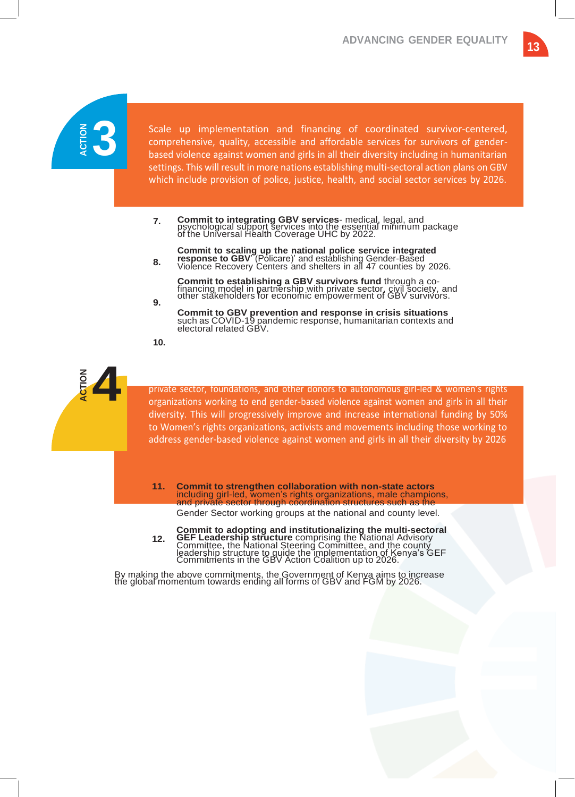

Scale up implementation and financing of coordinated survivor-centered, comprehensive, quality, accessible and affordable services for survivors of genderbased violence against women and girls in all their diversity including in humanitarian settings. This will result in more nations establishing multi-sectoral action plans on GBV which include provision of police, justice, health, and social sector services by 2026.

- **7. Commit to integrating GBV services**- medical, legal, and psychological support services into the essential minimum package of the Universal Health Coverage UHC by 2022.
- **8. Commit to scaling up the national police service integrated response to GBV**' (Policare)' and establishing Gender-Based Violence Recovery Centers and shelters in all 47 counties by 2026.

**Commit to establishing a GBV survivors fund** through a co-financing model in partnership with private sector, civil society, and other stakeholders for economic empowerment of GBV survivors.

**Commit to GBV prevention and response in crisis situations** such as COVID-19 pandemic response, humanitarian contexts and electoral related GBV.

**10.**

**9.**



private sector, foundations, and other donors to autonomous girl-led & women's rights organizations working to end gender-based violence against women and girls in all their diversity. This will progressively improve and increase international funding by 50% to Women's rights organizations, activists and movements including those working to address gender-based violence against women and girls in all their diversity by 2026

**11. Commit to strengthen collaboration with non-state actors** including girl-led, women's rights organizations, male champions, and private sector through coordination structures such as the

Gender Sector working groups at the national and county level.

**12. Commit to adopting and institutionalizing the multi-sectoral GEF Leadership structure** comprising the National Advisory Committee, the National Steering Committee, and the county leadership structure to guide the implementation of Kenya's GEF Commitments in the GBV Action Coalition up to 2026.

By making the above commitments, the Government of Kenya aims to increase the global momentum towards ending all forms of GBV and FGM by 2026.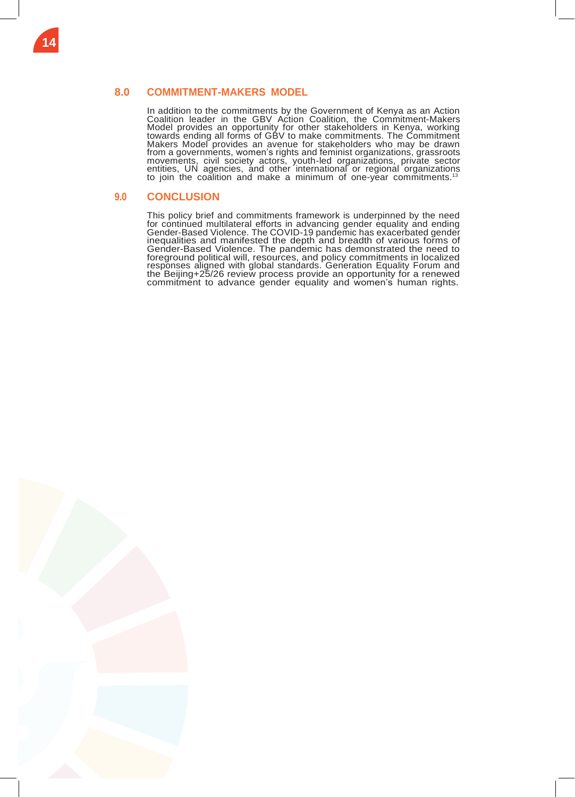## <span id="page-13-0"></span>**8.0 COMMITMENT-MAKERS MODEL**

In addition to the commitments by the Government of Kenya as an Action Coalition leader in the GBV Action Coalition, the Commitment-Makers Model provides an opportunity for other stakeholders in Kenya, working towards ending all forms of GBV to make commitments. The Commitment Makers Model provides an avenue for stakeholders who may be drawn from a governments, women's rights and feminist organizations, grassroots movements, civil society actors, youth-led organizations, private sector entities, UN agencies, and other international or regional organizations to join the coalition and make a minimum of one-year commitments.<sup>13</sup>

## <span id="page-13-1"></span>**9.0 CONCLUSION**

This policy brief and commitments framework is underpinned by the need for continued multilateral efforts in advancing gender equality and ending Gender-Based Violence. The COVID-19 pandemic has exacerbated gender inequalities and manifested the depth and breadth of various forms of Gender-Based Violence. The pandemic has demonstrated the need to foreground political will, resources, and policy commitments in localized responses aligned with global standards. Generation Equality Forum and the Beijing+25/26 review process provide an opportunity for a renewed commitment to advance gender equality and women's human rights.

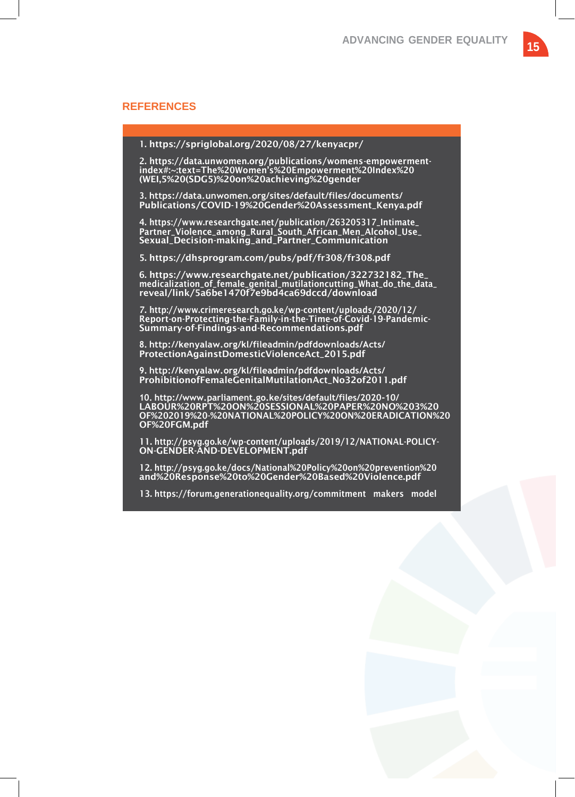#### **REFERENCES**

1. https://spriglobal.org/2020/08/27/kenyacpr/

2. https://data.unwomen.org/publications/womens-empowermentindex#:~:text=The%20Women's%20Empowerment%20Index%20 (WEI,5%20(SDG5)%20on%20achieving%20gender

**3. https://data.unwomen.org/sites/default/files/documents/** Publications/COVID-19%20Gender%20Assessment\_Kenya.pdf

4. [https://www.researchgate.net/publication/263205317\\_Intimate\\_](http://www.researchgate.net/publication/263205317_Intimate_) Partner\_Violence\_among\_Rural\_South\_African\_Men\_Alcohol\_Use\_ Sexual\_Decision-making\_and\_Partner\_Communication

5. https://dhsprogram.com/pubs/pdf/fr308/fr308.pdf

6. [https://www.researchgate.net/publication/322732182\\_The\\_](http://www.researchgate.net/publication/322732182_The_) medicalization\_of\_female\_genital\_mutilationcutting\_What\_do\_the\_data\_ reveal/link/5a6be1470f7e9bd4ca69dccd/download

7. <http://www.crimeresearch.go.ke/wp-content/uploads/2020/12/> Report-on-Protecting-the-Family-in-the-Time-of-Covid-19-Pandemic-Summary-of-Findings-and-Recommendations.pdf

**8. <http://kenyalaw.org/kl/fileadmin/pdfdownloads/Acts/>** ProtectionAgainstDomesticViolenceAct\_2015.pdf

**9. <http://kenyalaw.org/kl/fileadmin/pdfdownloads/Acts/>** ProhibitionofFemaleGenitalMutilationAct\_No32of2011.pdf

**10. <http://www.parliament.go.ke/sites/default/files/2020-10/>** LABOUR%20RPT%20ON%20SESSIONAL%20PAPER%20NO%203%20 OF%202019%20-%20NATIONAL%20POLICY%20ON%20ERADICATION%20 OF%20FGM.pdf

11. <http://psyg.go.ke/wp-content/uploads/2019/12/NATIONAL-POLICY->ON-GENDER-AND-DEVELOPMENT.pdf

12. [http://psyg.go.ke/docs/National%20Policy%20on%20prevention%20](http://psyg.go.ke/docs/National%20Policy%20on%20prevention) and%20Response%20to%20Gender%20Based%20Violence.pdf

13. https://forum.generationequality.org/commitment makers model